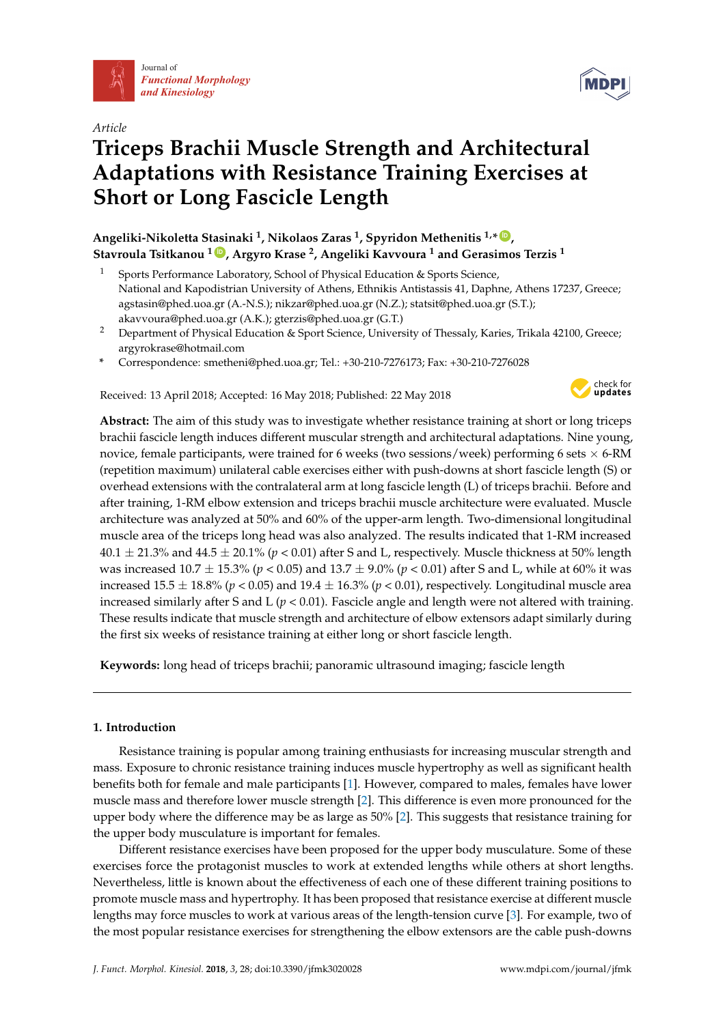

*Article*

# **Triceps Brachii Muscle Strength and Architectural Adaptations with Resistance Training Exercises at Short or Long Fascicle Length**

# **Angeliki-Nikoletta Stasinaki <sup>1</sup> , Nikolaos Zaras <sup>1</sup> , Spyridon Methenitis 1,\* [ID](https://orcid.org/0000-0003-4370-1395) , Stavroula Tsitkanou <sup>1</sup> [ID](https://orcid.org/0000-0002-6753-5945) , Argyro Krase <sup>2</sup> , Angeliki Kavvoura <sup>1</sup> and Gerasimos Terzis <sup>1</sup>**

- Sports Performance Laboratory, School of Physical Education & Sports Science, National and Kapodistrian University of Athens, Ethnikis Antistassis 41, Daphne, Athens 17237, Greece; agstasin@phed.uoa.gr (A.-N.S.); nikzar@phed.uoa.gr (N.Z.); statsit@phed.uoa.gr (S.T.); akavvoura@phed.uoa.gr (A.K.); gterzis@phed.uoa.gr (G.T.)
- <sup>2</sup> Department of Physical Education & Sport Science, University of Thessaly, Karies, Trikala 42100, Greece; argyrokrase@hotmail.com
- **\*** Correspondence: smetheni@phed.uoa.gr; Tel.: +30-210-7276173; Fax: +30-210-7276028

Received: 13 April 2018; Accepted: 16 May 2018; Published: 22 May 2018



**Abstract:** The aim of this study was to investigate whether resistance training at short or long triceps brachii fascicle length induces different muscular strength and architectural adaptations. Nine young, novice, female participants, were trained for 6 weeks (two sessions/week) performing 6 sets  $\times$  6-RM (repetition maximum) unilateral cable exercises either with push-downs at short fascicle length (S) or overhead extensions with the contralateral arm at long fascicle length (L) of triceps brachii. Before and after training, 1-RM elbow extension and triceps brachii muscle architecture were evaluated. Muscle architecture was analyzed at 50% and 60% of the upper-arm length. Two-dimensional longitudinal muscle area of the triceps long head was also analyzed. The results indicated that 1-RM increased  $40.1 \pm 21.3\%$  and  $44.5 \pm 20.1\%$  ( $p < 0.01$ ) after S and L, respectively. Muscle thickness at 50% length was increased 10.7 ± 15.3% (*p* < 0.05) and 13.7 ± 9.0% (*p* < 0.01) after S and L, while at 60% it was increased  $15.5 \pm 18.8\%$  (*p* < 0.05) and  $19.4 \pm 16.3\%$  (*p* < 0.01), respectively. Longitudinal muscle area increased similarly after S and L  $(p < 0.01)$ . Fascicle angle and length were not altered with training. These results indicate that muscle strength and architecture of elbow extensors adapt similarly during the first six weeks of resistance training at either long or short fascicle length.

**Keywords:** long head of triceps brachii; panoramic ultrasound imaging; fascicle length

# **1. Introduction**

Resistance training is popular among training enthusiasts for increasing muscular strength and mass. Exposure to chronic resistance training induces muscle hypertrophy as well as significant health benefits both for female and male participants [\[1\]](#page-8-0). However, compared to males, females have lower muscle mass and therefore lower muscle strength [\[2\]](#page-8-1). This difference is even more pronounced for the upper body where the difference may be as large as 50% [\[2\]](#page-8-1). This suggests that resistance training for the upper body musculature is important for females.

Different resistance exercises have been proposed for the upper body musculature. Some of these exercises force the protagonist muscles to work at extended lengths while others at short lengths. Nevertheless, little is known about the effectiveness of each one of these different training positions to promote muscle mass and hypertrophy. It has been proposed that resistance exercise at different muscle lengths may force muscles to work at various areas of the length-tension curve [\[3\]](#page-8-2). For example, two of the most popular resistance exercises for strengthening the elbow extensors are the cable push-downs

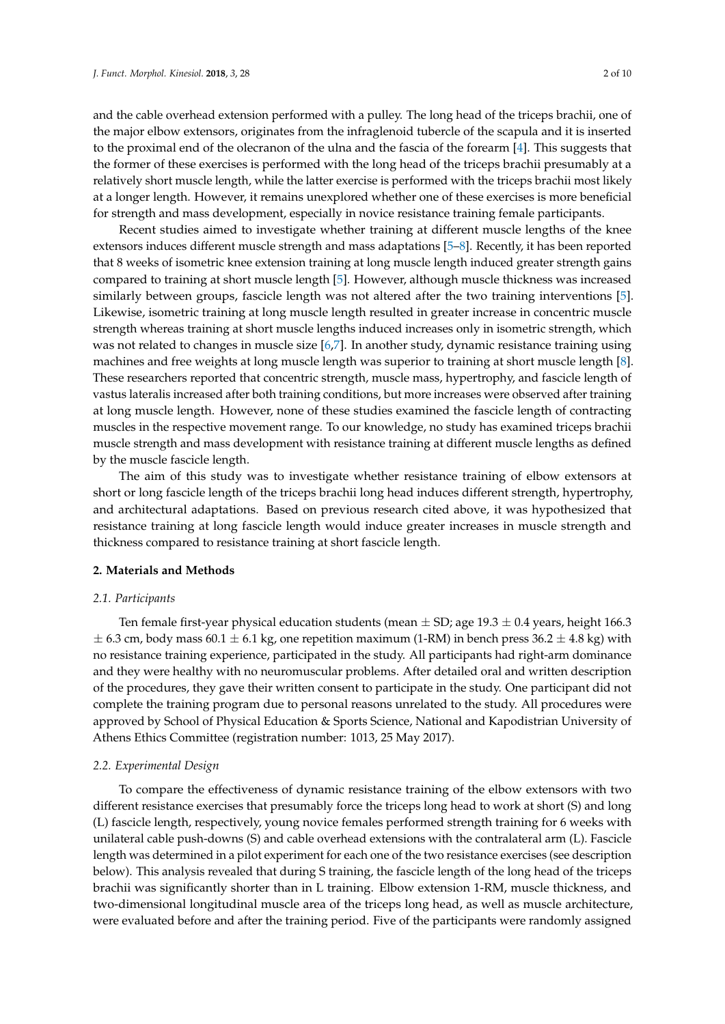and the cable overhead extension performed with a pulley. The long head of the triceps brachii, one of the major elbow extensors, originates from the infraglenoid tubercle of the scapula and it is inserted to the proximal end of the olecranon of the ulna and the fascia of the forearm [\[4\]](#page-8-3). This suggests that the former of these exercises is performed with the long head of the triceps brachii presumably at a relatively short muscle length, while the latter exercise is performed with the triceps brachii most likely at a longer length. However, it remains unexplored whether one of these exercises is more beneficial for strength and mass development, especially in novice resistance training female participants.

Recent studies aimed to investigate whether training at different muscle lengths of the knee extensors induces different muscle strength and mass adaptations [\[5](#page-9-0)[–8\]](#page-9-1). Recently, it has been reported that 8 weeks of isometric knee extension training at long muscle length induced greater strength gains compared to training at short muscle length [\[5\]](#page-9-0). However, although muscle thickness was increased similarly between groups, fascicle length was not altered after the two training interventions [\[5\]](#page-9-0). Likewise, isometric training at long muscle length resulted in greater increase in concentric muscle strength whereas training at short muscle lengths induced increases only in isometric strength, which was not related to changes in muscle size [\[6,](#page-9-2)[7\]](#page-9-3). In another study, dynamic resistance training using machines and free weights at long muscle length was superior to training at short muscle length [\[8\]](#page-9-1). These researchers reported that concentric strength, muscle mass, hypertrophy, and fascicle length of vastus lateralis increased after both training conditions, but more increases were observed after training at long muscle length. However, none of these studies examined the fascicle length of contracting muscles in the respective movement range. To our knowledge, no study has examined triceps brachii muscle strength and mass development with resistance training at different muscle lengths as defined by the muscle fascicle length.

The aim of this study was to investigate whether resistance training of elbow extensors at short or long fascicle length of the triceps brachii long head induces different strength, hypertrophy, and architectural adaptations. Based on previous research cited above, it was hypothesized that resistance training at long fascicle length would induce greater increases in muscle strength and thickness compared to resistance training at short fascicle length.

## **2. Materials and Methods**

#### *2.1. Participants*

Ten female first-year physical education students (mean  $\pm$  SD; age 19.3  $\pm$  0.4 years, height 166.3  $\pm$  6.3 cm, body mass 60.1  $\pm$  6.1 kg, one repetition maximum (1-RM) in bench press 36.2  $\pm$  4.8 kg) with no resistance training experience, participated in the study. All participants had right-arm dominance and they were healthy with no neuromuscular problems. After detailed oral and written description of the procedures, they gave their written consent to participate in the study. One participant did not complete the training program due to personal reasons unrelated to the study. All procedures were approved by School of Physical Education & Sports Science, National and Kapodistrian University of Athens Ethics Committee (registration number: 1013, 25 May 2017).

#### *2.2. Experimental Design*

To compare the effectiveness of dynamic resistance training of the elbow extensors with two different resistance exercises that presumably force the triceps long head to work at short (S) and long (L) fascicle length, respectively, young novice females performed strength training for 6 weeks with unilateral cable push-downs (S) and cable overhead extensions with the contralateral arm (L). Fascicle length was determined in a pilot experiment for each one of the two resistance exercises (see description below). This analysis revealed that during S training, the fascicle length of the long head of the triceps brachii was significantly shorter than in L training. Elbow extension 1-RM, muscle thickness, and two-dimensional longitudinal muscle area of the triceps long head, as well as muscle architecture, were evaluated before and after the training period. Five of the participants were randomly assigned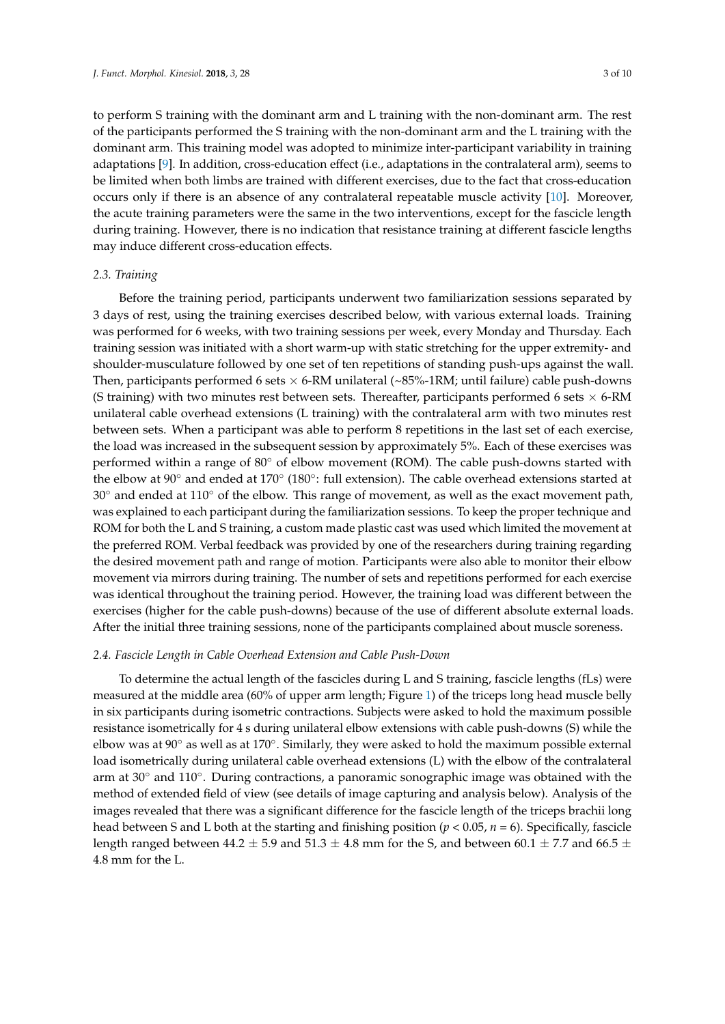to perform S training with the dominant arm and L training with the non-dominant arm. The rest of the participants performed the S training with the non-dominant arm and the L training with the dominant arm. This training model was adopted to minimize inter-participant variability in training adaptations [\[9\]](#page-9-4). In addition, cross-education effect (i.e., adaptations in the contralateral arm), seems to be limited when both limbs are trained with different exercises, due to the fact that cross-education occurs only if there is an absence of any contralateral repeatable muscle activity [\[10\]](#page-9-5). Moreover, the acute training parameters were the same in the two interventions, except for the fascicle length during training. However, there is no indication that resistance training at different fascicle lengths may induce different cross-education effects.

#### *2.3. Training*

Before the training period, participants underwent two familiarization sessions separated by 3 days of rest, using the training exercises described below, with various external loads. Training was performed for 6 weeks, with two training sessions per week, every Monday and Thursday. Each training session was initiated with a short warm-up with static stretching for the upper extremity- and shoulder-musculature followed by one set of ten repetitions of standing push-ups against the wall. Then, participants performed 6 sets  $\times$  6-RM unilateral ( $\sim$ 85%-1RM; until failure) cable push-downs (S training) with two minutes rest between sets. Thereafter, participants performed 6 sets  $\times$  6-RM unilateral cable overhead extensions (L training) with the contralateral arm with two minutes rest between sets. When a participant was able to perform 8 repetitions in the last set of each exercise, the load was increased in the subsequent session by approximately 5%. Each of these exercises was performed within a range of 80◦ of elbow movement (ROM). The cable push-downs started with the elbow at 90° and ended at 170° (180°: full extension). The cable overhead extensions started at 30° and ended at 110° of the elbow. This range of movement, as well as the exact movement path, was explained to each participant during the familiarization sessions. To keep the proper technique and ROM for both the L and S training, a custom made plastic cast was used which limited the movement at the preferred ROM. Verbal feedback was provided by one of the researchers during training regarding the desired movement path and range of motion. Participants were also able to monitor their elbow movement via mirrors during training. The number of sets and repetitions performed for each exercise was identical throughout the training period. However, the training load was different between the exercises (higher for the cable push-downs) because of the use of different absolute external loads. After the initial three training sessions, none of the participants complained about muscle soreness.

#### *2.4. Fascicle Length in Cable Overhead Extension and Cable Push-Down*

To determine the actual length of the fascicles during L and S training, fascicle lengths (fLs) were measured at the middle area (60% of upper arm length; Figure [1\)](#page-3-0) of the triceps long head muscle belly in six participants during isometric contractions. Subjects were asked to hold the maximum possible resistance isometrically for 4 s during unilateral elbow extensions with cable push-downs (S) while the elbow was at 90 $^{\circ}$  as well as at 170 $^{\circ}$ . Similarly, they were asked to hold the maximum possible external load isometrically during unilateral cable overhead extensions (L) with the elbow of the contralateral arm at 30° and 110°. During contractions, a panoramic sonographic image was obtained with the method of extended field of view (see details of image capturing and analysis below). Analysis of the images revealed that there was a significant difference for the fascicle length of the triceps brachii long head between S and L both at the starting and finishing position ( $p < 0.05$ ,  $n = 6$ ). Specifically, fascicle length ranged between 44.2  $\pm$  5.9 and 51.3  $\pm$  4.8 mm for the S, and between 60.1  $\pm$  7.7 and 66.5  $\pm$ 4.8 mm for the L.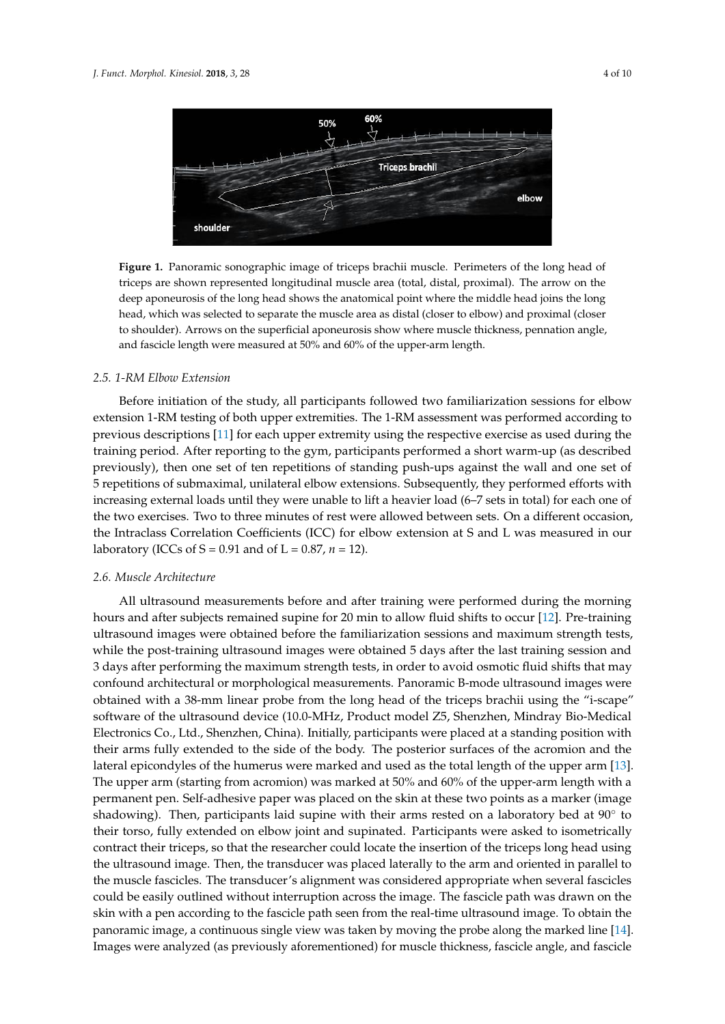<span id="page-3-0"></span>

**Figure 1.** Panoramic sonographic image of triceps brachii muscle. Perimeters of the long head of **Figure 1.** Panoramic sonographic image of triceps brachii muscle. Perimeters of the long head of triceps are shown represented longitudinal muscle area (total, distal, proximal). The arrow on the triceps are shown represented longitudinal muscle area (total, distal, proximal). The arrow on the deep aponeurosis of the long head shows the anatomical point where the middle head joins the long deep aponeurosis of the long head shows the anatomical point where the middle head joins the long head, which was selected to separate the muscle area as distal (closer to elbow) and proximal (closer head, which was selected to separate the muscle area as distal (closer to elbow) and proximal (closer the shoulder of superficial aponential and the superficiency where  $\frac{1}{2}$  and  $\frac{1}{2}$  and  $\frac{1}{2}$  and  $\frac{1}{2}$  (contract the set of  $\frac{1}{2}$ ) to shoulder). Arrows on the superficial aponeurosis show where muscle thickness, pennation angle,<br> and fascicle length were measured at 50% and 60% of the upper-arm length.

# *2.5. 1-RM Elbow Extension*

Before initiation of the study, all participants followed two familiarization sessions for elbow extension 1-RM testing of both upper extremities. The 1-RM assessment was performed according to previous descriptions [\[11\]](#page-9-6) for each upper extremity using the respective exercise as used during the training period. After reporting to the gym, participants performed a short warm-up (as described previously), then one set of ten repetitions of standing push-ups against the wall and one set of 5 repetitions of submaximal, unilateral elbow extensions. Subsequently, they performed efforts with increasing external loads until they were unable to lift a heavier load (6–7 sets in total) for each one of the two exercises. Two to three minutes of rest were allowed between sets. On a different occasion, the Intraclass Correlation Coefficients (ICC) for elbow extension at S and L was measured in our *Aboratory (ICCs of S = 0.91 and of L = 0.87, <i>n =* 12).

# All ultrasound measurements before and after training were performed during the morning *2.6. Muscle Architecture*

All ultrasound measurements before and after training were performed during the morning hours and after subjects remained supine for 20 min to allow fluid shifts to occur [\[12\]](#page-9-7). Pre-training while the poster complete complete the poster the last training sessions and maximum strength tests, ultrasound images were obtained before the familiarization sessions and maximum strength tests, after performance were the maximum strength tests, in order to avoid our maximum strength tests, in order to a while the post-training ultrasound images were obtained 5 days after the last training session and<br>Canora in the post-training ultrasound images were obtained 5 days after the last training session and 3 days after performing the maximum strength tests, in order to avoid osmotic fluid shifts that may confound architectural or morphological measurements. Panoramic B-mode ultrasound images were obtained with a 38-mm linear probe from the long head of the triceps brachii using the "i-scape" software of the ultrasound device (10.0-MHz, Product model Z5, Shenzhen, Mindray Bio-Medical Electronics Co., Ltd., Shenzhen, China). Initially, participants were placed at a standing position with their arms fully extended to the side of the body. The posterior surfaces of the acromion and the lateral epicondyles of the humerus were marked and used as the total length of the upper arm [\[13\]](#page-9-8). The upper arm (starting from acromion) was marked at 50% and 60% of the upper-arm length with a permanent pen. Self-adhesive paper was placed on the skin at these two points as a marker (image shadowing). Then, participants laid supine with their arms rested on a laboratory bed at  $90^{\circ}$  to their torso, fully extended on elbow joint and supinated. Participants were asked to isometrically contract their triceps, so that the researcher could locate the insertion of the triceps long head using the ultrasound image. Then, the transducer was placed laterally to the arm and oriented in parallel to the muscle fascicles. The transducer's alignment was considered appropriate when several fascicles could be easily outlined without interruption across the image. The fascicle path was drawn on the skin with a pen according to the fascicle path seen from the real-time ultrasound image. To obtain the panoramic image, a continuous single view was taken by moving the probe along the marked line [\[14\]](#page-9-9). Images were analyzed (as previously aforementioned) for muscle thickness, fascicle angle, and fascicle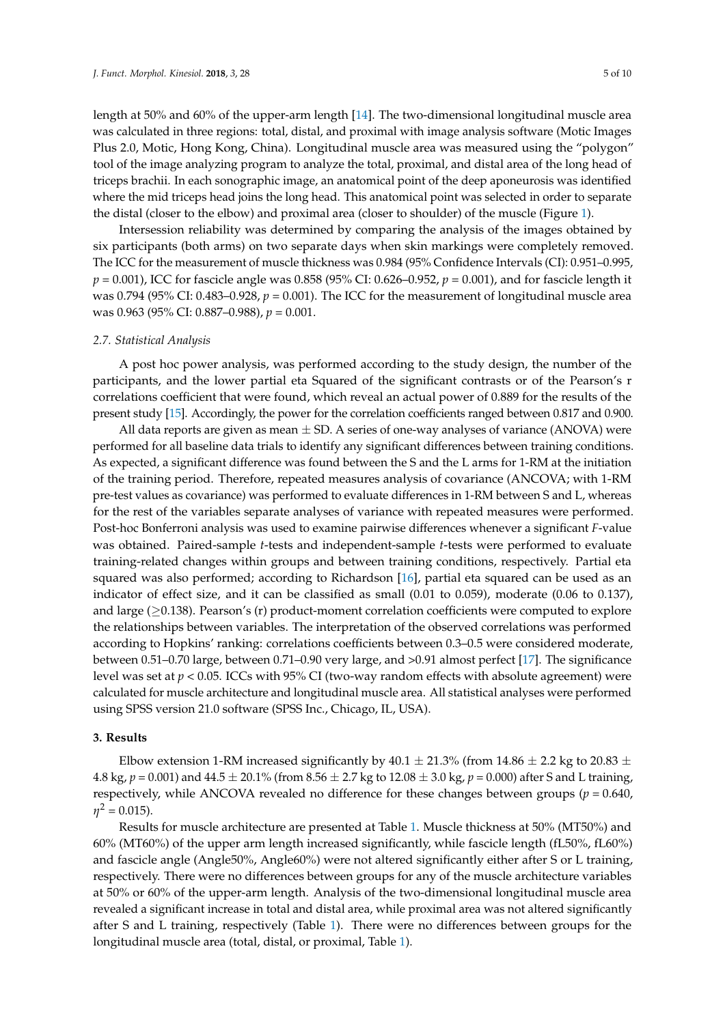length at 50% and 60% of the upper-arm length [\[14\]](#page-9-9). The two-dimensional longitudinal muscle area was calculated in three regions: total, distal, and proximal with image analysis software (Motic Images Plus 2.0, Motic, Hong Kong, China). Longitudinal muscle area was measured using the "polygon" tool of the image analyzing program to analyze the total, proximal, and distal area of the long head of triceps brachii. In each sonographic image, an anatomical point of the deep aponeurosis was identified where the mid triceps head joins the long head. This anatomical point was selected in order to separate the distal (closer to the elbow) and proximal area (closer to shoulder) of the muscle (Figure [1\)](#page-3-0).

Intersession reliability was determined by comparing the analysis of the images obtained by six participants (both arms) on two separate days when skin markings were completely removed. The ICC for the measurement of muscle thickness was 0.984 (95% Confidence Intervals (CI): 0.951–0.995, *p* = 0.001), ICC for fascicle angle was 0.858 (95% CI: 0.626–0.952, *p* = 0.001), and for fascicle length it was 0.794 (95% CI: 0.483–0.928,  $p = 0.001$ ). The ICC for the measurement of longitudinal muscle area was 0.963 (95% CI: 0.887–0.988), *p* = 0.001.

# *2.7. Statistical Analysis*

A post hoc power analysis, was performed according to the study design, the number of the participants, and the lower partial eta Squared of the significant contrasts or of the Pearson's r correlations coefficient that were found, which reveal an actual power of 0.889 for the results of the present study [\[15\]](#page-9-10). Accordingly, the power for the correlation coefficients ranged between 0.817 and 0.900.

All data reports are given as mean  $\pm$  SD. A series of one-way analyses of variance (ANOVA) were performed for all baseline data trials to identify any significant differences between training conditions. As expected, a significant difference was found between the S and the L arms for 1-RM at the initiation of the training period. Therefore, repeated measures analysis of covariance (ANCOVA; with 1-RM pre-test values as covariance) was performed to evaluate differences in 1-RM between S and L, whereas for the rest of the variables separate analyses of variance with repeated measures were performed. Post-hoc Bonferroni analysis was used to examine pairwise differences whenever a significant *F*-value was obtained. Paired-sample *t*-tests and independent-sample *t*-tests were performed to evaluate training-related changes within groups and between training conditions, respectively. Partial eta squared was also performed; according to Richardson [\[16\]](#page-9-11), partial eta squared can be used as an indicator of effect size, and it can be classified as small (0.01 to 0.059), moderate (0.06 to 0.137), and large  $(≥0.138)$ . Pearson's (r) product-moment correlation coefficients were computed to explore the relationships between variables. The interpretation of the observed correlations was performed according to Hopkins' ranking: correlations coefficients between 0.3–0.5 were considered moderate, between 0.51–0.70 large, between 0.71–0.90 very large, and >0.91 almost perfect [\[17\]](#page-9-12). The significance level was set at *p* < 0.05. ICCs with 95% CI (two-way random effects with absolute agreement) were calculated for muscle architecture and longitudinal muscle area. All statistical analyses were performed using SPSS version 21.0 software (SPSS Inc., Chicago, IL, USA).

# **3. Results**

Elbow extension 1-RM increased significantly by 40.1  $\pm$  21.3% (from 14.86  $\pm$  2.2 kg to 20.83  $\pm$ 4.8 kg, *p* = 0.001) and 44.5 ± 20.1% (from 8.56 ± 2.7 kg to 12.08 ± 3.0 kg, *p* = 0.000) after S and L training, respectively, while ANCOVA revealed no difference for these changes between groups ( $p = 0.640$ ,  $\eta^2 = 0.015$ ).

Results for muscle architecture are presented at Table [1.](#page-5-0) Muscle thickness at 50% (MT50%) and 60% (MT60%) of the upper arm length increased significantly, while fascicle length (fL50%, fL60%) and fascicle angle (Angle50%, Angle60%) were not altered significantly either after S or L training, respectively. There were no differences between groups for any of the muscle architecture variables at 50% or 60% of the upper-arm length. Analysis of the two-dimensional longitudinal muscle area revealed a significant increase in total and distal area, while proximal area was not altered significantly after S and L training, respectively (Table [1\)](#page-5-0). There were no differences between groups for the longitudinal muscle area (total, distal, or proximal, Table [1\)](#page-5-0).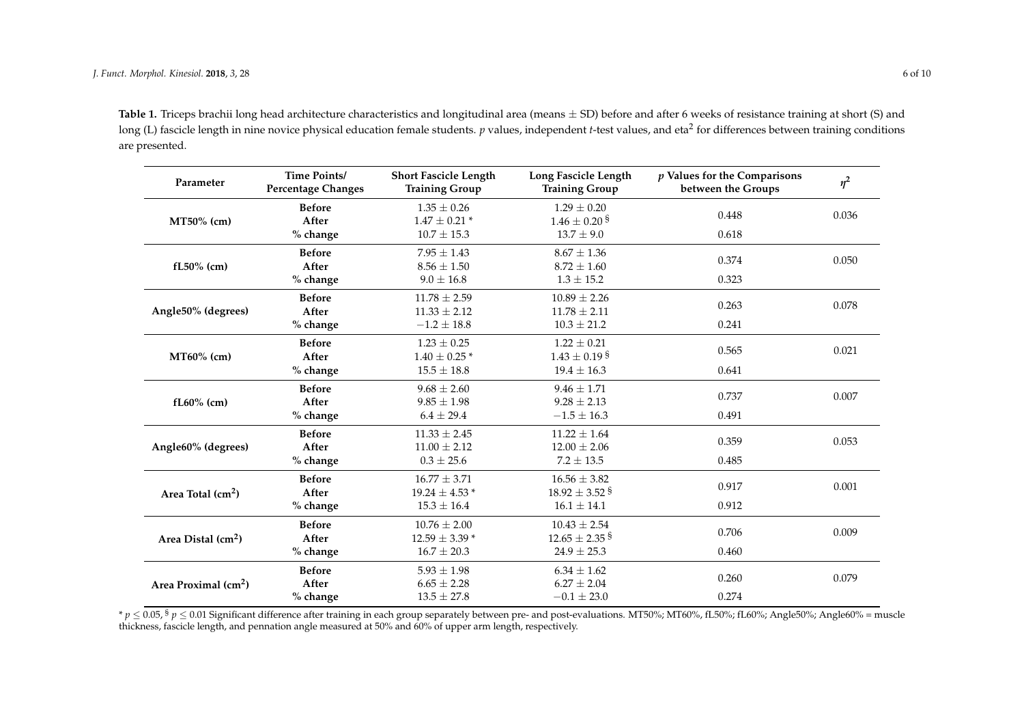Table 1. Triceps brachii long head architecture characteristics and longitudinal area (means  $\pm$  SD) before and after 6 weeks of resistance training at short (S) and long (L) fascicle length in nine novice physical education female students.  $p$  values, independent *t-*test values, and eta<sup>2</sup> for differences between training conditions are presented.

| Parameter                        | Time Points/<br><b>Percentage Changes</b> | <b>Short Fascicle Length</b><br><b>Training Group</b> | Long Fascicle Length<br><b>Training Group</b> | $p$ Values for the Comparisons<br>between the Groups | $\eta^2$ |
|----------------------------------|-------------------------------------------|-------------------------------------------------------|-----------------------------------------------|------------------------------------------------------|----------|
|                                  | <b>Before</b>                             | $1.35 \pm 0.26$                                       | $1.29 \pm 0.20$                               |                                                      | 0.036    |
| MT50% (cm)                       | After                                     | $1.47 \pm 0.21$ *                                     | $1.46 \pm 0.20$ <sup>§</sup>                  | 0.448                                                |          |
|                                  | % change                                  | $10.7 \pm 15.3$                                       | $13.7 \pm 9.0$                                | 0.618                                                |          |
|                                  | <b>Before</b>                             | $7.95 \pm 1.43$                                       | $8.67 \pm 1.36$                               |                                                      |          |
| $fL50\%$ (cm)                    | After                                     | $8.56 \pm 1.50$                                       | $8.72 + 1.60$                                 | 0.374                                                | 0.050    |
|                                  | % change                                  | $9.0 \pm 16.8$                                        | $1.3 \pm 15.2$                                | 0.323                                                |          |
| Angle50% (degrees)               | <b>Before</b>                             | $11.78 \pm 2.59$                                      | $10.89 \pm 2.26$                              |                                                      |          |
|                                  | After                                     | $11.33 \pm 2.12$                                      | $11.78 + 2.11$                                | 0.263                                                | 0.078    |
|                                  | % change                                  | $-1.2 \pm 18.8$                                       | $10.3 \pm 21.2$                               | 0.241                                                |          |
| MT60% (cm)                       | <b>Before</b>                             | $1.23 \pm 0.25$                                       | $1.22 \pm 0.21$                               |                                                      |          |
|                                  | After                                     | $1.40 \pm 0.25$ *                                     | $1.43 \pm 0.19$ s                             | 0.565                                                | 0.021    |
|                                  | % change                                  | $15.5 \pm 18.8$                                       | $19.4 \pm 16.3$                               | 0.641                                                |          |
| $fL60\%$ (cm)                    | <b>Before</b>                             | $9.68 \pm 2.60$                                       | $9.46 + 1.71$                                 |                                                      |          |
|                                  | After                                     | $9.85 \pm 1.98$                                       | $9.28 + 2.13$                                 | 0.737                                                | 0.007    |
|                                  | % change                                  | $6.4 \pm 29.4$                                        | $-1.5 \pm 16.3$                               | 0.491                                                |          |
| Angle60% (degrees)               | <b>Before</b>                             | $11.33 \pm 2.45$                                      | $11.22 + 1.64$                                |                                                      |          |
|                                  | After                                     | $11.00 \pm 2.12$                                      | $12.00 \pm 2.06$                              | 0.359                                                | 0.053    |
|                                  | % change                                  | $0.3 \pm 25.6$                                        | $7.2 \pm 13.5$                                | 0.485                                                |          |
| Area Total $(cm2)$               | <b>Before</b>                             | $16.77 \pm 3.71$                                      | $16.56 \pm 3.82$                              |                                                      | 0.001    |
|                                  | After                                     | $19.24 \pm 4.53$ *                                    | $18.92 \pm 3.52$ <sup>§</sup>                 | 0.917                                                |          |
|                                  | % change                                  | $15.3 \pm 16.4$                                       | $16.1 \pm 14.1$                               | 0.912                                                |          |
| Area Distal (cm <sup>2</sup> )   | <b>Before</b>                             | $10.76 \pm 2.00$                                      | $10.43 \pm 2.54$                              |                                                      |          |
|                                  | After                                     | $12.59 \pm 3.39$ *                                    | $12.65 \pm 2.35$ <sup>§</sup>                 | 0.706                                                | 0.009    |
|                                  | % change                                  | $16.7 \pm 20.3$                                       | $24.9 \pm 25.3$                               | 0.460                                                |          |
| Area Proximal (cm <sup>2</sup> ) | <b>Before</b>                             | $5.93 \pm 1.98$                                       | $6.34 \pm 1.62$                               |                                                      |          |
|                                  | After                                     | $6.65 \pm 2.28$                                       | $6.27 \pm 2.04$                               | 0.260                                                | 0.079    |
|                                  | % change                                  | $13.5 \pm 27.8$                                       | $-0.1 \pm 23.0$                               | 0.274                                                |          |

<span id="page-5-0"></span>\* *p* ≤ 0.05, § *p* ≤ 0.01 Significant difference after training in each group separately between pre- and post-evaluations. MT50%; MT60%, fL50%; fL60%; Angle50%; Angle60% = muscle thickness, fascicle length, and pennation angle measured at 50% and 60% of upper arm length, respectively.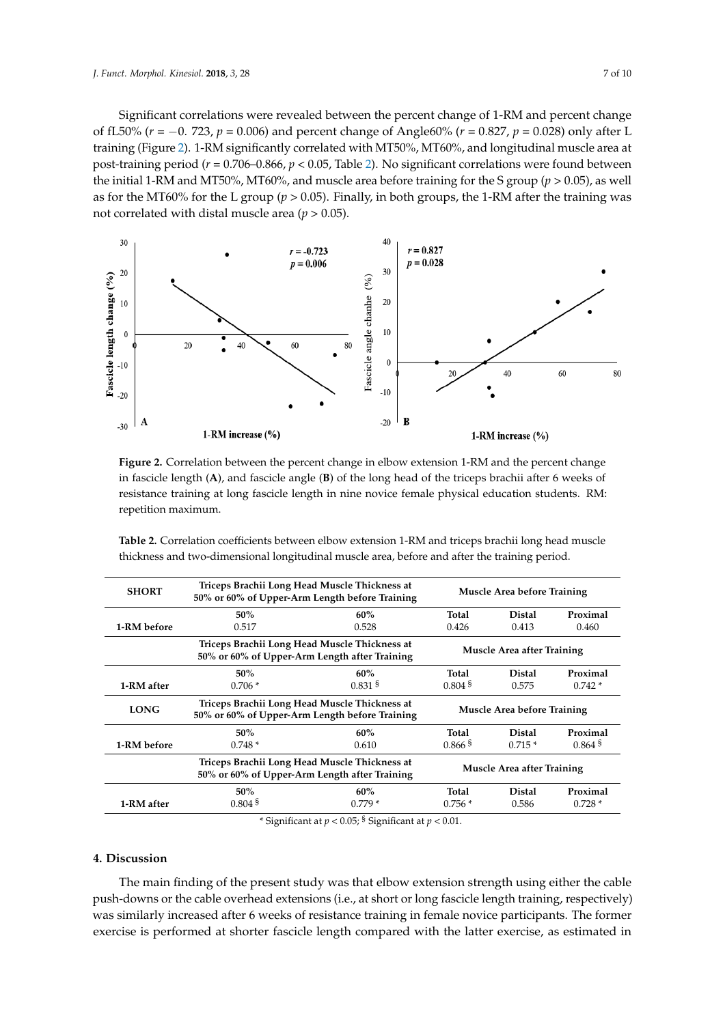Significant correlations were revealed between the percent change of 1-RM and percent change Significant correlations were revealed between the percent change of 1‐RM and percent change of fL50% ( $r = -0$ . 723,  $p = 0.006$ ) and percent change of Angle60% ( $r = 0.827$ ,  $p = 0.028$ ) only after L training (Figure [2\)](#page-6-0). 1-RM significantly correlated with MT50%, MT60%, and longitudinal muscle area at post-training period ( $r = 0.706 - 0.866$ ,  $p < 0.05$ , Table [2\)](#page-6-1). No significant correlations were found between the initial 1-RM and MT50%, MT60%, and muscle area before training for the S group ( $p > 0.05$ ), as well as for the MT60% for the L group ( $p > 0.05$ ). Finally, in both groups, the 1-RM after the training was not correlated with distal muscle area ( $p > 0.05$ ).

<span id="page-6-0"></span>

**Figure 2.** Correlation between the percent change in elbow extension 1‐RM and the percent change in in fascicle length  $(A)$ , and fascicle angle  $(B)$  of the long head of the triceps brachii after 6 weeks of resistance training at long fascicle length in nine novice female physical education students. RM: resistance training at long fascicle length in nine novice female physical education students. RM: repetition maximum. repetition maximum. **Figure 2.** Correlation between the percent change in elbow extension 1-RM and the percent change

| <b>SHORT</b> | Triceps Brachii Long Head Muscle Thickness at<br>50% or 60% of Upper-Arm Length before Training | <b>Muscle Area before Training</b> |                       |               |                       |
|--------------|-------------------------------------------------------------------------------------------------|------------------------------------|-----------------------|---------------|-----------------------|
|              | 50%                                                                                             | 60%                                | Total                 | <b>Distal</b> | Proximal              |
| 1-RM before  | 0.517                                                                                           | 0.528                              | 0.426                 | 0.413         | 0.460                 |
|              | Triceps Brachii Long Head Muscle Thickness at<br>50% or 60% of Upper-Arm Length after Training  | Muscle Area after Training         |                       |               |                       |
|              | 50%                                                                                             | 60%                                | Total                 | <b>Distal</b> | Proximal              |
| 1-RM after   | $0.706*$                                                                                        | $0.831$ <sup>§</sup>               | $0.804$ <sup>§</sup>  | 0.575         | $0.742*$              |
| <b>LONG</b>  | Triceps Brachii Long Head Muscle Thickness at<br>50% or 60% of Upper-Arm Length before Training | <b>Muscle Area before Training</b> |                       |               |                       |
|              | 50%                                                                                             | 60%                                | Total                 | <b>Distal</b> | Proximal              |
| 1-RM before  | $0.748*$                                                                                        | 0.610                              | $0.866$ <sup>\$</sup> | $0.715*$      | $0.864$ <sup>\$</sup> |
|              | Triceps Brachii Long Head Muscle Thickness at<br>50% or 60% of Upper-Arm Length after Training  | Muscle Area after Training         |                       |               |                       |
|              | 50%                                                                                             | 60%                                | Total                 | <b>Distal</b> | Proximal              |
| 1-RM after   | $0.804$ <sup>§</sup>                                                                            | $0.779*$                           | $0.756*$              | 0.586         | $0.728*$              |

<span id="page-6-1"></span>**Table 2.** Correlation coefficients between elbow extension 1‐RM and triceps brachii long **Table 2.** Correlation coefficients between elbow extension 1-RM and triceps brachii long head muscle thickness and two-dimensional longitudinal muscle area, before and after the training period.

\* Significant at  $p < 0.05$ ; § Significant at  $p < 0.01$ .

# **4. Discussion**

The main finding of the present study was that elbow extension strength using either the cable The main finding of the present studies in the present study in the present study in female pushes of pushes  $\frac{1}{2}$  was similarly increased after 6 weeks of resistance training in female novice participants. The former  $\alpha$  or the cable overhead extensions (i.e., at short or long fascicle length  $\alpha$ ) was also fascicle length training, respectively) was also fascicle length training, respectively,  $\alpha$ exercise is performed at shorter fascicle length compared with the latter exercise, as estimated in push-downs or the cable overhead extensions (i.e., at short or long fascicle length training, respectively)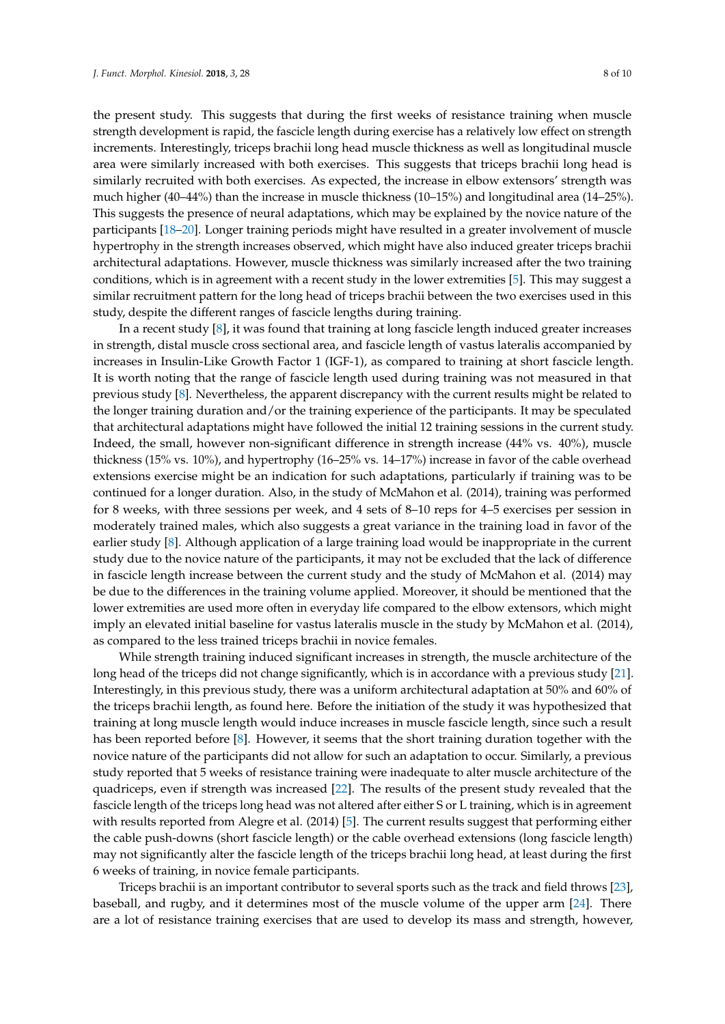the present study. This suggests that during the first weeks of resistance training when muscle strength development is rapid, the fascicle length during exercise has a relatively low effect on strength increments. Interestingly, triceps brachii long head muscle thickness as well as longitudinal muscle area were similarly increased with both exercises. This suggests that triceps brachii long head is similarly recruited with both exercises. As expected, the increase in elbow extensors' strength was much higher (40–44%) than the increase in muscle thickness (10–15%) and longitudinal area (14–25%). This suggests the presence of neural adaptations, which may be explained by the novice nature of the participants [\[18](#page-9-13)[–20\]](#page-9-14). Longer training periods might have resulted in a greater involvement of muscle hypertrophy in the strength increases observed, which might have also induced greater triceps brachii architectural adaptations. However, muscle thickness was similarly increased after the two training conditions, which is in agreement with a recent study in the lower extremities [\[5\]](#page-9-0). This may suggest a similar recruitment pattern for the long head of triceps brachii between the two exercises used in this study, despite the different ranges of fascicle lengths during training.

In a recent study [\[8\]](#page-9-1), it was found that training at long fascicle length induced greater increases in strength, distal muscle cross sectional area, and fascicle length of vastus lateralis accompanied by increases in Insulin-Like Growth Factor 1 (IGF-1), as compared to training at short fascicle length. It is worth noting that the range of fascicle length used during training was not measured in that previous study [\[8\]](#page-9-1). Nevertheless, the apparent discrepancy with the current results might be related to the longer training duration and/or the training experience of the participants. It may be speculated that architectural adaptations might have followed the initial 12 training sessions in the current study. Indeed, the small, however non-significant difference in strength increase (44% vs. 40%), muscle thickness (15% vs. 10%), and hypertrophy (16–25% vs. 14–17%) increase in favor of the cable overhead extensions exercise might be an indication for such adaptations, particularly if training was to be continued for a longer duration. Also, in the study of McMahon et al. (2014), training was performed for 8 weeks, with three sessions per week, and 4 sets of 8–10 reps for 4–5 exercises per session in moderately trained males, which also suggests a great variance in the training load in favor of the earlier study [\[8\]](#page-9-1). Although application of a large training load would be inappropriate in the current study due to the novice nature of the participants, it may not be excluded that the lack of difference in fascicle length increase between the current study and the study of McMahon et al. (2014) may be due to the differences in the training volume applied. Moreover, it should be mentioned that the lower extremities are used more often in everyday life compared to the elbow extensors, which might imply an elevated initial baseline for vastus lateralis muscle in the study by McMahon et al. (2014), as compared to the less trained triceps brachii in novice females.

While strength training induced significant increases in strength, the muscle architecture of the long head of the triceps did not change significantly, which is in accordance with a previous study [\[21\]](#page-9-15). Interestingly, in this previous study, there was a uniform architectural adaptation at 50% and 60% of the triceps brachii length, as found here. Before the initiation of the study it was hypothesized that training at long muscle length would induce increases in muscle fascicle length, since such a result has been reported before [\[8\]](#page-9-1). However, it seems that the short training duration together with the novice nature of the participants did not allow for such an adaptation to occur. Similarly, a previous study reported that 5 weeks of resistance training were inadequate to alter muscle architecture of the quadriceps, even if strength was increased [\[22\]](#page-9-16). The results of the present study revealed that the fascicle length of the triceps long head was not altered after either S or L training, which is in agreement with results reported from Alegre et al. (2014) [\[5\]](#page-9-0). The current results suggest that performing either the cable push-downs (short fascicle length) or the cable overhead extensions (long fascicle length) may not significantly alter the fascicle length of the triceps brachii long head, at least during the first 6 weeks of training, in novice female participants.

Triceps brachii is an important contributor to several sports such as the track and field throws [\[23\]](#page-9-17), baseball, and rugby, and it determines most of the muscle volume of the upper arm [\[24\]](#page-9-18). There are a lot of resistance training exercises that are used to develop its mass and strength, however,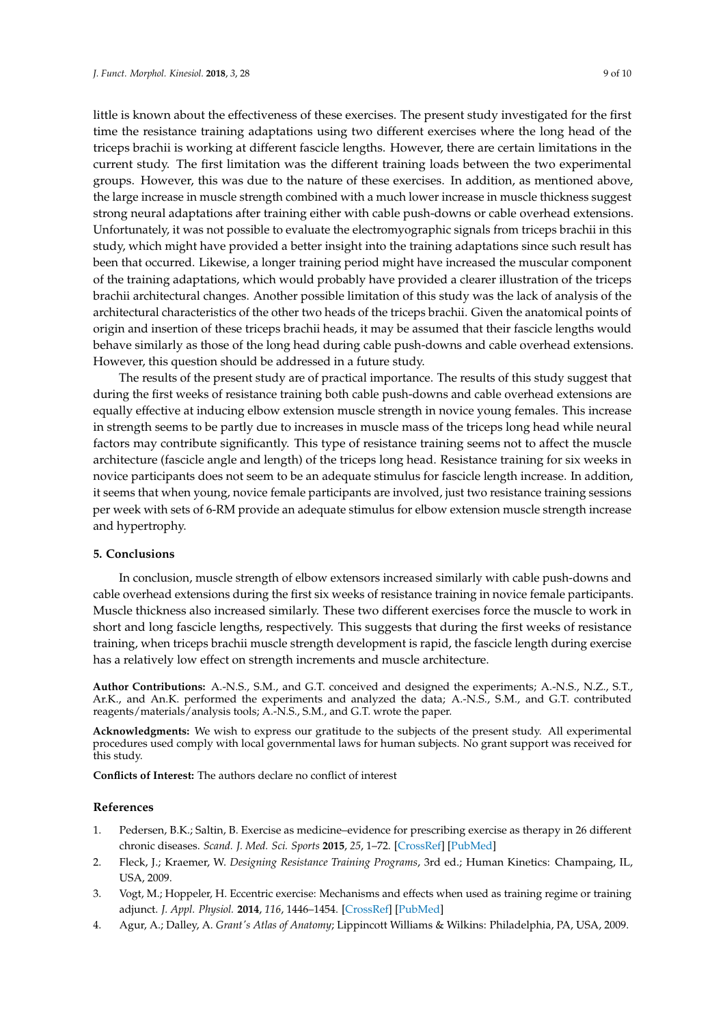little is known about the effectiveness of these exercises. The present study investigated for the first time the resistance training adaptations using two different exercises where the long head of the triceps brachii is working at different fascicle lengths. However, there are certain limitations in the current study. The first limitation was the different training loads between the two experimental groups. However, this was due to the nature of these exercises. In addition, as mentioned above, the large increase in muscle strength combined with a much lower increase in muscle thickness suggest strong neural adaptations after training either with cable push-downs or cable overhead extensions. Unfortunately, it was not possible to evaluate the electromyographic signals from triceps brachii in this study, which might have provided a better insight into the training adaptations since such result has been that occurred. Likewise, a longer training period might have increased the muscular component of the training adaptations, which would probably have provided a clearer illustration of the triceps brachii architectural changes. Another possible limitation of this study was the lack of analysis of the architectural characteristics of the other two heads of the triceps brachii. Given the anatomical points of origin and insertion of these triceps brachii heads, it may be assumed that their fascicle lengths would behave similarly as those of the long head during cable push-downs and cable overhead extensions. However, this question should be addressed in a future study.

The results of the present study are of practical importance. The results of this study suggest that during the first weeks of resistance training both cable push-downs and cable overhead extensions are equally effective at inducing elbow extension muscle strength in novice young females. This increase in strength seems to be partly due to increases in muscle mass of the triceps long head while neural factors may contribute significantly. This type of resistance training seems not to affect the muscle architecture (fascicle angle and length) of the triceps long head. Resistance training for six weeks in novice participants does not seem to be an adequate stimulus for fascicle length increase. In addition, it seems that when young, novice female participants are involved, just two resistance training sessions per week with sets of 6-RM provide an adequate stimulus for elbow extension muscle strength increase and hypertrophy.

# **5. Conclusions**

In conclusion, muscle strength of elbow extensors increased similarly with cable push-downs and cable overhead extensions during the first six weeks of resistance training in novice female participants. Muscle thickness also increased similarly. These two different exercises force the muscle to work in short and long fascicle lengths, respectively. This suggests that during the first weeks of resistance training, when triceps brachii muscle strength development is rapid, the fascicle length during exercise has a relatively low effect on strength increments and muscle architecture.

**Author Contributions:** A.-N.S., S.M., and G.T. conceived and designed the experiments; A.-N.S., N.Z., S.T., Ar.K., and An.K. performed the experiments and analyzed the data; A.-N.S., S.M., and G.T. contributed reagents/materials/analysis tools; A.-N.S., S.M., and G.T. wrote the paper.

**Acknowledgments:** We wish to express our gratitude to the subjects of the present study. All experimental procedures used comply with local governmental laws for human subjects. No grant support was received for this study.

**Conflicts of Interest:** The authors declare no conflict of interest

## **References**

- <span id="page-8-0"></span>1. Pedersen, B.K.; Saltin, B. Exercise as medicine–evidence for prescribing exercise as therapy in 26 different chronic diseases. *Scand. J. Med. Sci. Sports* **2015**, *25*, 1–72. [\[CrossRef\]](http://dx.doi.org/10.1111/sms.12581) [\[PubMed\]](http://www.ncbi.nlm.nih.gov/pubmed/26606383)
- <span id="page-8-1"></span>2. Fleck, J.; Kraemer, W. *Designing Resistance Training Programs*, 3rd ed.; Human Kinetics: Champaing, IL, USA, 2009.
- <span id="page-8-2"></span>3. Vogt, M.; Hoppeler, H. Eccentric exercise: Mechanisms and effects when used as training regime or training adjunct. *J. Appl. Physiol.* **2014**, *116*, 1446–1454. [\[CrossRef\]](http://dx.doi.org/10.1152/japplphysiol.00146.2013) [\[PubMed\]](http://www.ncbi.nlm.nih.gov/pubmed/24505103)
- <span id="page-8-3"></span>4. Agur, A.; Dalley, A. *Grant's Atlas of Anatomy*; Lippincott Williams & Wilkins: Philadelphia, PA, USA, 2009.